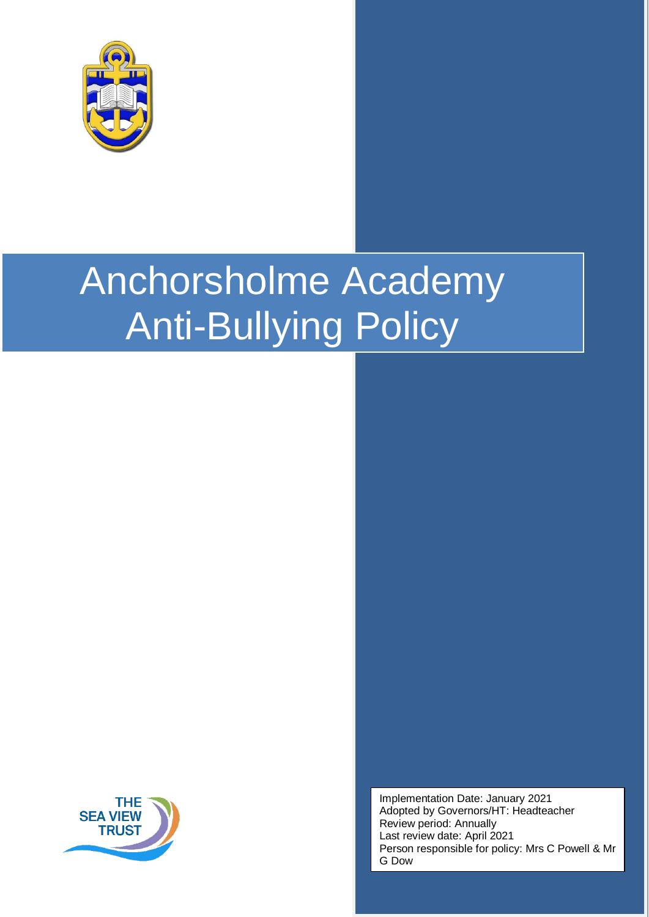

# Anchorsholme Academy Anti-Bullying Policy



Implementation Date: January 2021 Adopted by Governors/HT: Headteacher Review period: Annually Last review date: April 2021 Person responsible for policy: Mrs C Powell & Mr G Dow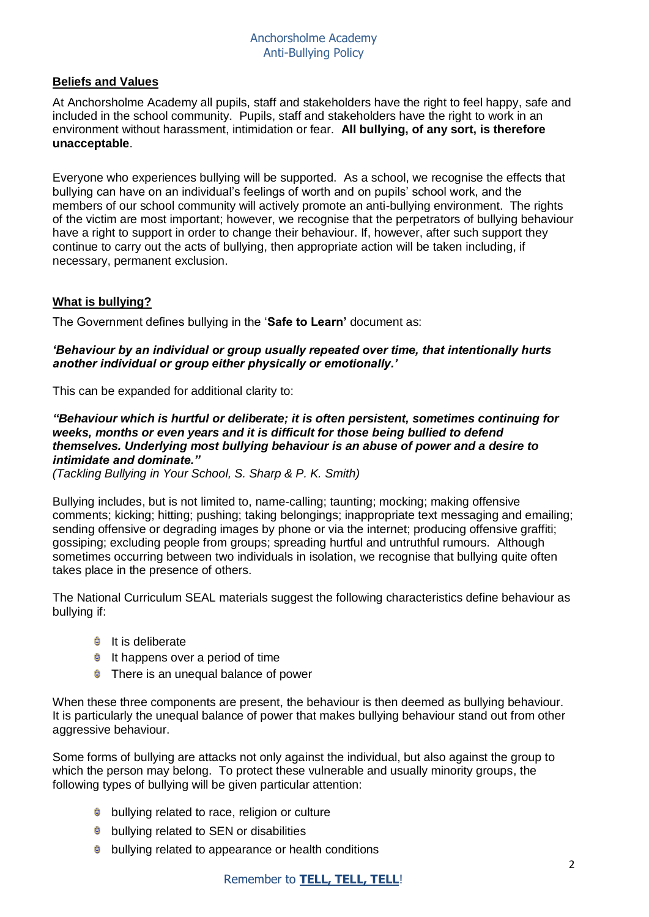# **Beliefs and Values**

At Anchorsholme Academy all pupils, staff and stakeholders have the right to feel happy, safe and included in the school community. Pupils, staff and stakeholders have the right to work in an environment without harassment, intimidation or fear. **All bullying, of any sort, is therefore unacceptable**.

Everyone who experiences bullying will be supported. As a school, we recognise the effects that bullying can have on an individual's feelings of worth and on pupils' school work, and the members of our school community will actively promote an anti-bullying environment. The rights of the victim are most important; however, we recognise that the perpetrators of bullying behaviour have a right to support in order to change their behaviour. If, however, after such support they continue to carry out the acts of bullying, then appropriate action will be taken including, if necessary, permanent exclusion.

## **What is bullying?**

The Government defines bullying in the '**Safe to Learn'** document as:

#### *'Behaviour by an individual or group usually repeated over time, that intentionally hurts another individual or group either physically or emotionally.'*

This can be expanded for additional clarity to:

#### *"Behaviour which is hurtful or deliberate; it is often persistent, sometimes continuing for weeks, months or even years and it is difficult for those being bullied to defend themselves. Underlying most bullying behaviour is an abuse of power and a desire to intimidate and dominate."*

*(Tackling Bullying in Your School, S. Sharp & P. K. Smith)*

Bullying includes, but is not limited to, name-calling; taunting; mocking; making offensive comments; kicking; hitting; pushing; taking belongings; inappropriate text messaging and emailing; sending offensive or degrading images by phone or via the internet; producing offensive graffiti; gossiping; excluding people from groups; spreading hurtful and untruthful rumours. Although sometimes occurring between two individuals in isolation, we recognise that bullying quite often takes place in the presence of others.

The National Curriculum SEAL materials suggest the following characteristics define behaviour as bullying if:

- $\bullet$  It is deliberate
- $\bullet$  It happens over a period of time
- **There is an unequal balance of power**

When these three components are present, the behaviour is then deemed as bullying behaviour. It is particularly the unequal balance of power that makes bullying behaviour stand out from other aggressive behaviour.

Some forms of bullying are attacks not only against the individual, but also against the group to which the person may belong. To protect these vulnerable and usually minority groups, the following types of bullying will be given particular attention:

- **b** bullying related to race, religion or culture
- **C** bullying related to SEN or disabilities
- bullying related to appearance or health conditions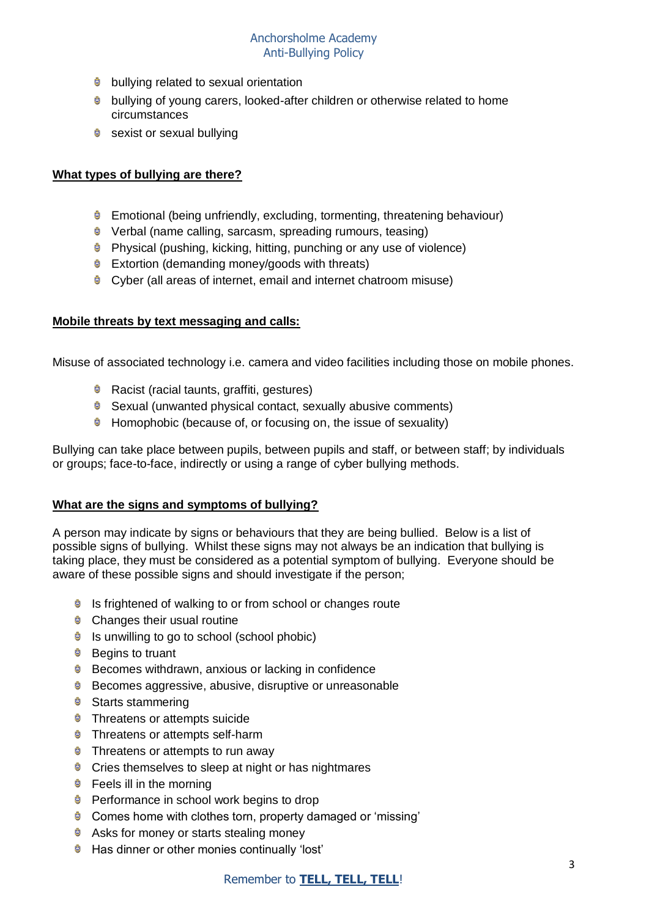- **b** bullying related to sexual orientation
- **bullying of young carers, looked-after children or otherwise related to home** circumstances
- Sexist or sexual bullying

# **What types of bullying are there?**

- Emotional (being unfriendly, excluding, tormenting, threatening behaviour)
- **•** Verbal (name calling, sarcasm, spreading rumours, teasing)
- **C** Physical (pushing, kicking, hitting, punching or any use of violence)
- $\bullet$  Extortion (demanding money/goods with threats)
- Cyber (all areas of internet, email and internet chatroom misuse)

# **Mobile threats by text messaging and calls:**

Misuse of associated technology i.e. camera and video facilities including those on mobile phones.

- **C** Racist (racial taunts, graffiti, gestures)
- **Sexual (unwanted physical contact, sexually abusive comments)**
- **Homophobic (because of, or focusing on, the issue of sexuality)**

Bullying can take place between pupils, between pupils and staff, or between staff; by individuals or groups; face-to-face, indirectly or using a range of cyber bullying methods.

## **What are the signs and symptoms of bullying?**

A person may indicate by signs or behaviours that they are being bullied. Below is a list of possible signs of bullying. Whilst these signs may not always be an indication that bullying is taking place, they must be considered as a potential symptom of bullying. Everyone should be aware of these possible signs and should investigate if the person;

- **B** Is frightened of walking to or from school or changes route
- **Changes their usual routine**
- $\bullet$  Is unwilling to go to school (school phobic)
- $\theta$  Begins to truant
- $\bullet$  Becomes withdrawn, anxious or lacking in confidence
- Ů. Becomes aggressive, abusive, disruptive or unreasonable
- **Starts stammering**
- **Threatens or attempts suicide**
- **Threatens or attempts self-harm**
- **Threatens or attempts to run away**
- **Cries themselves to sleep at night or has nightmares**
- **G** Feels ill in the morning
- **Performance in school work begins to drop**
- **Comes home with clothes torn, property damaged or 'missing'**
- **Asks for money or starts stealing money**
- **E** Has dinner or other monies continually 'lost'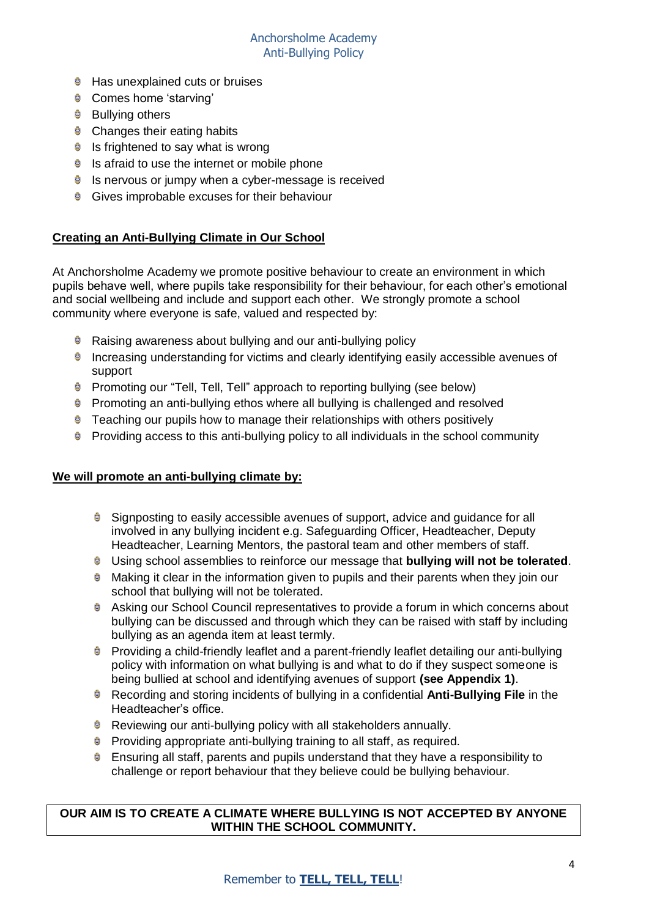# Anchorsholme Academy Anti-Bullying Policy

- **C** Has unexplained cuts or bruises
- **Comes home 'starving'**
- **Bullying others**
- **Changes their eating habits**
- $\bullet$  Is frightened to say what is wrong
- $\bullet$  Is afraid to use the internet or mobile phone
- $\bullet$  Is nervous or jumpy when a cyber-message is received
- Gives improbable excuses for their behaviour

# **Creating an Anti-Bullying Climate in Our School**

At Anchorsholme Academy we promote positive behaviour to create an environment in which pupils behave well, where pupils take responsibility for their behaviour, for each other's emotional and social wellbeing and include and support each other. We strongly promote a school community where everyone is safe, valued and respected by:

- **B** Raising awareness about bullying and our anti-bullying policy
- **Increasing understanding for victims and clearly identifying easily accessible avenues of** support
- **•** Promoting our "Tell, Tell, Tell" approach to reporting bullying (see below)
- **•** Promoting an anti-bullying ethos where all bullying is challenged and resolved
- $\bullet$  Teaching our pupils how to manage their relationships with others positively
- **Providing access to this anti-bullying policy to all individuals in the school community**

## **We will promote an anti-bullying climate by:**

- Signposting to easily accessible avenues of support, advice and guidance for all involved in any bullying incident e.g. Safeguarding Officer, Headteacher, Deputy Headteacher, Learning Mentors, the pastoral team and other members of staff.
- Using school assemblies to reinforce our message that **bullying will not be tolerated**.
- **Making it clear in the information given to pupils and their parents when they join our** school that bullying will not be tolerated.
- **Asking our School Council representatives to provide a forum in which concerns about** bullying can be discussed and through which they can be raised with staff by including bullying as an agenda item at least termly.
- **•** Providing a child-friendly leaflet and a parent-friendly leaflet detailing our anti-bullying policy with information on what bullying is and what to do if they suspect someone is being bullied at school and identifying avenues of support **(see Appendix 1)**.
- Recording and storing incidents of bullying in a confidential **Anti-Bullying File** in the Headteacher's office.
- **B** Reviewing our anti-bullying policy with all stakeholders annually.
- **•** Providing appropriate anti-bullying training to all staff, as required.
- $\bullet$  Ensuring all staff, parents and pupils understand that they have a responsibility to challenge or report behaviour that they believe could be bullying behaviour.

## **OUR AIM IS TO CREATE A CLIMATE WHERE BULLYING IS NOT ACCEPTED BY ANYONE WITHIN THE SCHOOL COMMUNITY.**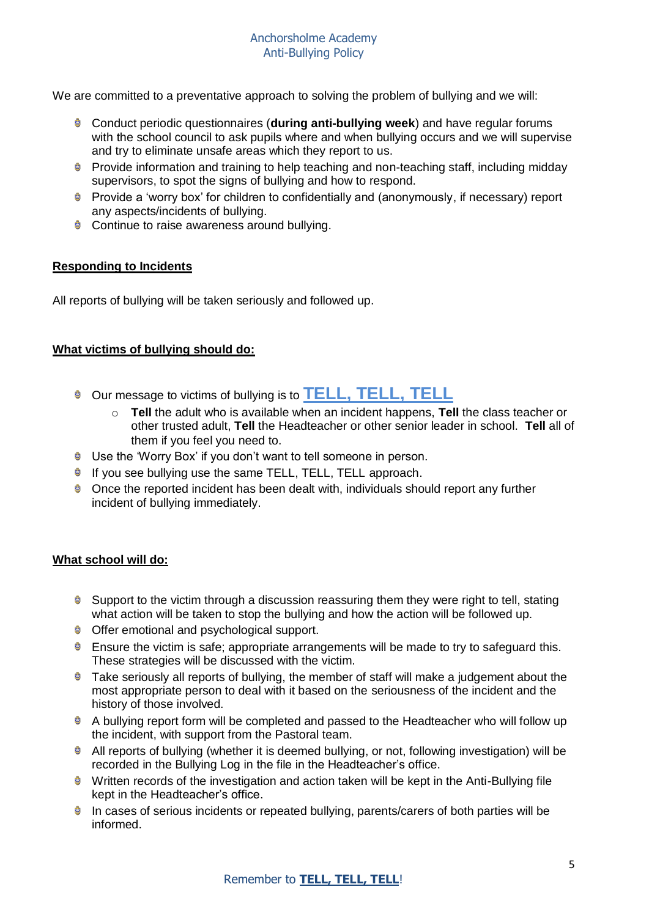We are committed to a preventative approach to solving the problem of bullying and we will:

- Conduct periodic questionnaires (**during anti-bullying week**) and have regular forums with the school council to ask pupils where and when bullying occurs and we will supervise and try to eliminate unsafe areas which they report to us.
- **•** Provide information and training to help teaching and non-teaching staff, including midday supervisors, to spot the signs of bullying and how to respond.
- Provide a 'worry box' for children to confidentially and (anonymously, if necessary) report any aspects/incidents of bullying.
- Continue to raise awareness around bullying.

# **Responding to Incidents**

All reports of bullying will be taken seriously and followed up.

# **What victims of bullying should do:**

- **C** Our message to victims of bullying is to **TELL, TELL**, **TELL** 
	- **Tell** the adult who is available when an incident happens. **Tell** the class teacher or other trusted adult, **Tell** the Headteacher or other senior leader in school. **Tell** all of them if you feel you need to.
- **Use the 'Worry Box' if you don't want to tell someone in person.**
- **If you see bullying use the same TELL, TELL, TELL approach.**
- $\bullet$  Once the reported incident has been dealt with, individuals should report any further incident of bullying immediately.

## **What school will do:**

- $\bullet$  Support to the victim through a discussion reassuring them they were right to tell, stating what action will be taken to stop the bullying and how the action will be followed up.
- **C** Offer emotional and psychological support.
- $\bullet$  Ensure the victim is safe; appropriate arrangements will be made to try to safeguard this. These strategies will be discussed with the victim.
- **Take seriously all reports of bullying, the member of staff will make a judgement about the** most appropriate person to deal with it based on the seriousness of the incident and the history of those involved.
- A bullying report form will be completed and passed to the Headteacher who will follow up the incident, with support from the Pastoral team.
- **All reports of bullying (whether it is deemed bullying, or not, following investigation) will be** recorded in the Bullying Log in the file in the Headteacher's office.
- Written records of the investigation and action taken will be kept in the Anti-Bullying file kept in the Headteacher's office.
- In cases of serious incidents or repeated bullying, parents/carers of both parties will be informed.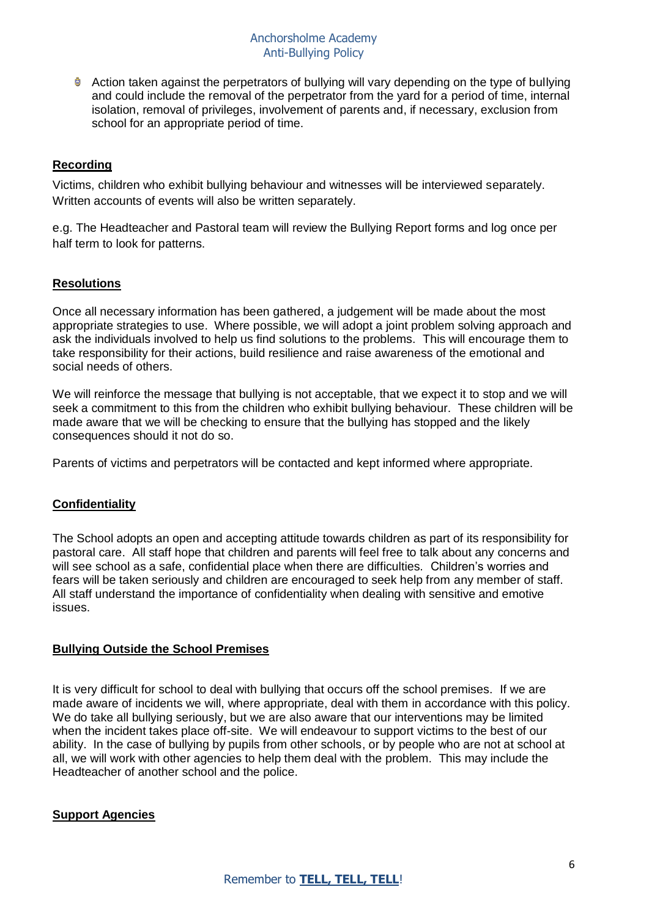Action taken against the perpetrators of bullying will vary depending on the type of bullying and could include the removal of the perpetrator from the yard for a period of time, internal isolation, removal of privileges, involvement of parents and, if necessary, exclusion from school for an appropriate period of time.

# **Recording**

Victims, children who exhibit bullying behaviour and witnesses will be interviewed separately. Written accounts of events will also be written separately.

e.g. The Headteacher and Pastoral team will review the Bullying Report forms and log once per half term to look for patterns.

## **Resolutions**

Once all necessary information has been gathered, a judgement will be made about the most appropriate strategies to use. Where possible, we will adopt a joint problem solving approach and ask the individuals involved to help us find solutions to the problems. This will encourage them to take responsibility for their actions, build resilience and raise awareness of the emotional and social needs of others.

We will reinforce the message that bullying is not acceptable, that we expect it to stop and we will seek a commitment to this from the children who exhibit bullying behaviour. These children will be made aware that we will be checking to ensure that the bullying has stopped and the likely consequences should it not do so.

Parents of victims and perpetrators will be contacted and kept informed where appropriate.

## **Confidentiality**

The School adopts an open and accepting attitude towards children as part of its responsibility for pastoral care. All staff hope that children and parents will feel free to talk about any concerns and will see school as a safe, confidential place when there are difficulties. Children's worries and fears will be taken seriously and children are encouraged to seek help from any member of staff. All staff understand the importance of confidentiality when dealing with sensitive and emotive issues.

## **Bullying Outside the School Premises**

It is very difficult for school to deal with bullying that occurs off the school premises. If we are made aware of incidents we will, where appropriate, deal with them in accordance with this policy. We do take all bullying seriously, but we are also aware that our interventions may be limited when the incident takes place off-site. We will endeavour to support victims to the best of our ability. In the case of bullying by pupils from other schools, or by people who are not at school at all, we will work with other agencies to help them deal with the problem. This may include the Headteacher of another school and the police.

## **Support Agencies**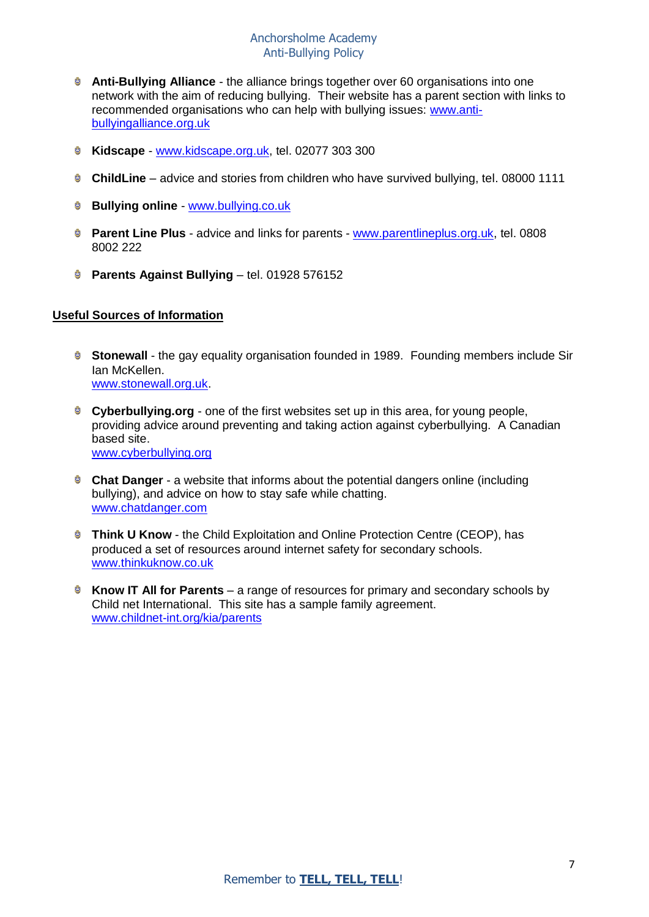## Anchorsholme Academy Anti-Bullying Policy

- **Anti-Bullying Alliance** the alliance brings together over 60 organisations into one network with the aim of reducing bullying. Their website has a parent section with links to recommended organisations who can help with bullying issues: [www.anti](http://www.anti-bullyingalliance.org.uk/)[bullyingalliance.org.uk](http://www.anti-bullyingalliance.org.uk/)
- **Kidscape** [www.kidscape.org.uk,](file:///C:/Users/gdow/Downloads/www.kidscape.org.uk) tel. 02077 303 300
- **ChildLine** advice and stories from children who have survived bullying, tel. 08000 1111
- **Bullying online** [www.bullying.co.uk](file:///C:/Users/gdow/Downloads/www.bullying.co.uk)
- **Parent Line Plus** advice and links for parents [www.parentlineplus.org.uk,](file:///C:/Users/gdow/Downloads/www.parentlineplus.org.uk) tel. 0808 8002 222
- **Parents Against Bullying tel. 01928 576152**

#### **Useful Sources of Information**

- **Stonewall** the gay equality organisation founded in 1989. Founding members include Sir Ian McKellen. [www.stonewall.org.uk.](file:///C:/Users/gdow/Downloads/www.stonewall.org.uk)
- **Cyberbullying.org** one of the first websites set up in this area, for young people, providing advice around preventing and taking action against cyberbullying. A Canadian based site. [www.cyberbullying.org](file:///C:/Users/gdow/Downloads/www.cyberbullying.org)
- **Chat Danger** a website that informs about the potential dangers online (including bullying), and advice on how to stay safe while chatting. [www.chatdanger.com](file:///C:/Users/gdow/Downloads/www.chatdanger.com)
- **C** Think U Know the Child Exploitation and Online Protection Centre (CEOP), has produced a set of resources around internet safety for secondary schools. [www.thinkuknow.co.uk](file:///C:/Users/gdow/Downloads/www.thinkuknow.co.uk)
- **E** Know IT All for Parents a range of resources for primary and secondary schools by Child net International. This site has a sample family agreement. [www.childnet-int.org/kia/parents](file:///C:/Users/gdow/Downloads/www.childnet-int.org/kia/parents)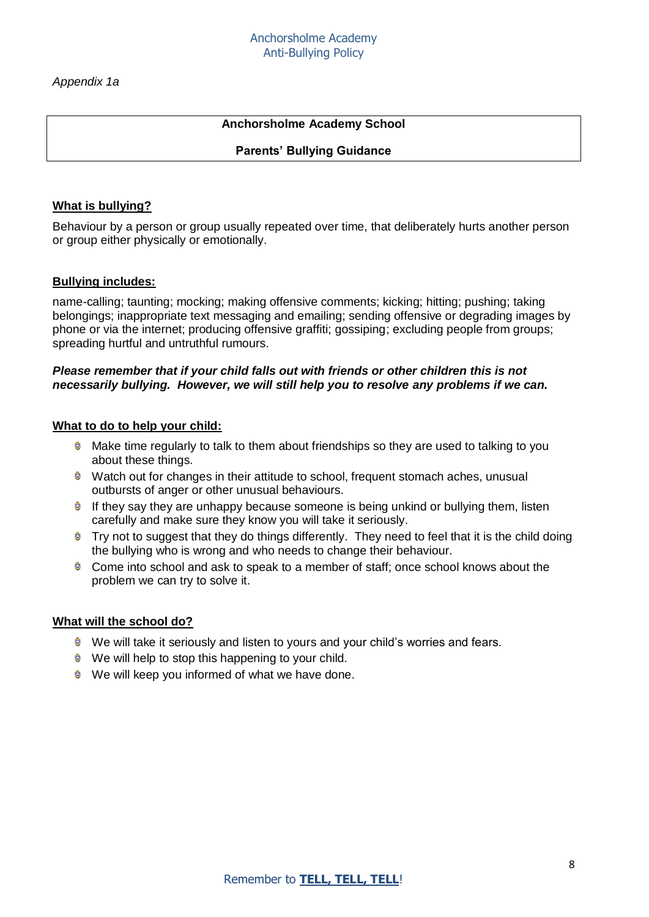*Appendix 1a* 

# **Anchorsholme Academy School**

#### **Parents' Bullying Guidance**

#### **What is bullying?**

Behaviour by a person or group usually repeated over time, that deliberately hurts another person or group either physically or emotionally.

#### **Bullying includes:**

name-calling; taunting; mocking; making offensive comments; kicking; hitting; pushing; taking belongings; inappropriate text messaging and emailing; sending offensive or degrading images by phone or via the internet; producing offensive graffiti; gossiping; excluding people from groups; spreading hurtful and untruthful rumours.

#### *Please remember that if your child falls out with friends or other children this is not necessarily bullying. However, we will still help you to resolve any problems if we can.*

#### **What to do to help your child:**

- Make time regularly to talk to them about friendships so they are used to talking to you about these things.
- **Watch out for changes in their attitude to school, frequent stomach aches, unusual** outbursts of anger or other unusual behaviours.
- **If they say they are unhappy because someone is being unkind or bullying them, listen** carefully and make sure they know you will take it seriously.
- $\bullet$  Try not to suggest that they do things differently. They need to feel that it is the child doing the bullying who is wrong and who needs to change their behaviour.
- **€** Come into school and ask to speak to a member of staff: once school knows about the problem we can try to solve it.

#### **What will the school do?**

- **We will take it seriously and listen to yours and your child's worries and fears.**
- $\bullet$  We will help to stop this happening to your child.
- $\bullet$  We will keep you informed of what we have done.